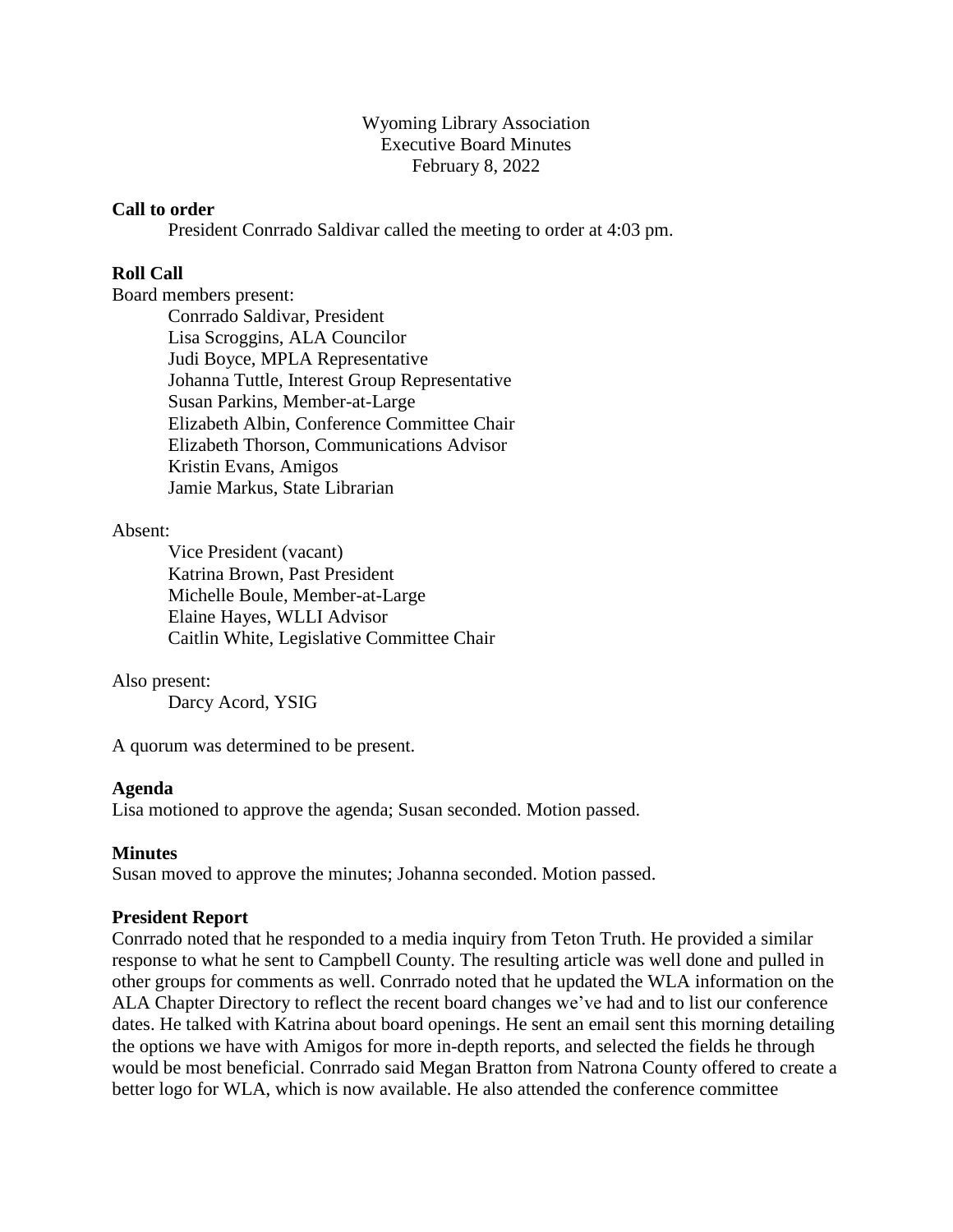Wyoming Library Association Executive Board Minutes February 8, 2022

#### **Call to order**

President Conrrado Saldivar called the meeting to order at 4:03 pm.

## **Roll Call**

Board members present:

Conrrado Saldivar, President Lisa Scroggins, ALA Councilor Judi Boyce, MPLA Representative Johanna Tuttle, Interest Group Representative Susan Parkins, Member-at-Large Elizabeth Albin, Conference Committee Chair Elizabeth Thorson, Communications Advisor Kristin Evans, Amigos Jamie Markus, State Librarian

#### Absent:

Vice President (vacant) Katrina Brown, Past President Michelle Boule, Member-at-Large Elaine Hayes, WLLI Advisor Caitlin White, Legislative Committee Chair

#### Also present:

Darcy Acord, YSIG

A quorum was determined to be present.

#### **Agenda**

Lisa motioned to approve the agenda; Susan seconded. Motion passed.

#### **Minutes**

Susan moved to approve the minutes; Johanna seconded. Motion passed.

#### **President Report**

Conrrado noted that he responded to a media inquiry from Teton Truth. He provided a similar response to what he sent to Campbell County. The resulting article was well done and pulled in other groups for comments as well. Conrrado noted that he updated the WLA information on the ALA Chapter Directory to reflect the recent board changes we've had and to list our conference dates. He talked with Katrina about board openings. He sent an email sent this morning detailing the options we have with Amigos for more in-depth reports, and selected the fields he through would be most beneficial. Conrrado said Megan Bratton from Natrona County offered to create a better logo for WLA, which is now available. He also attended the conference committee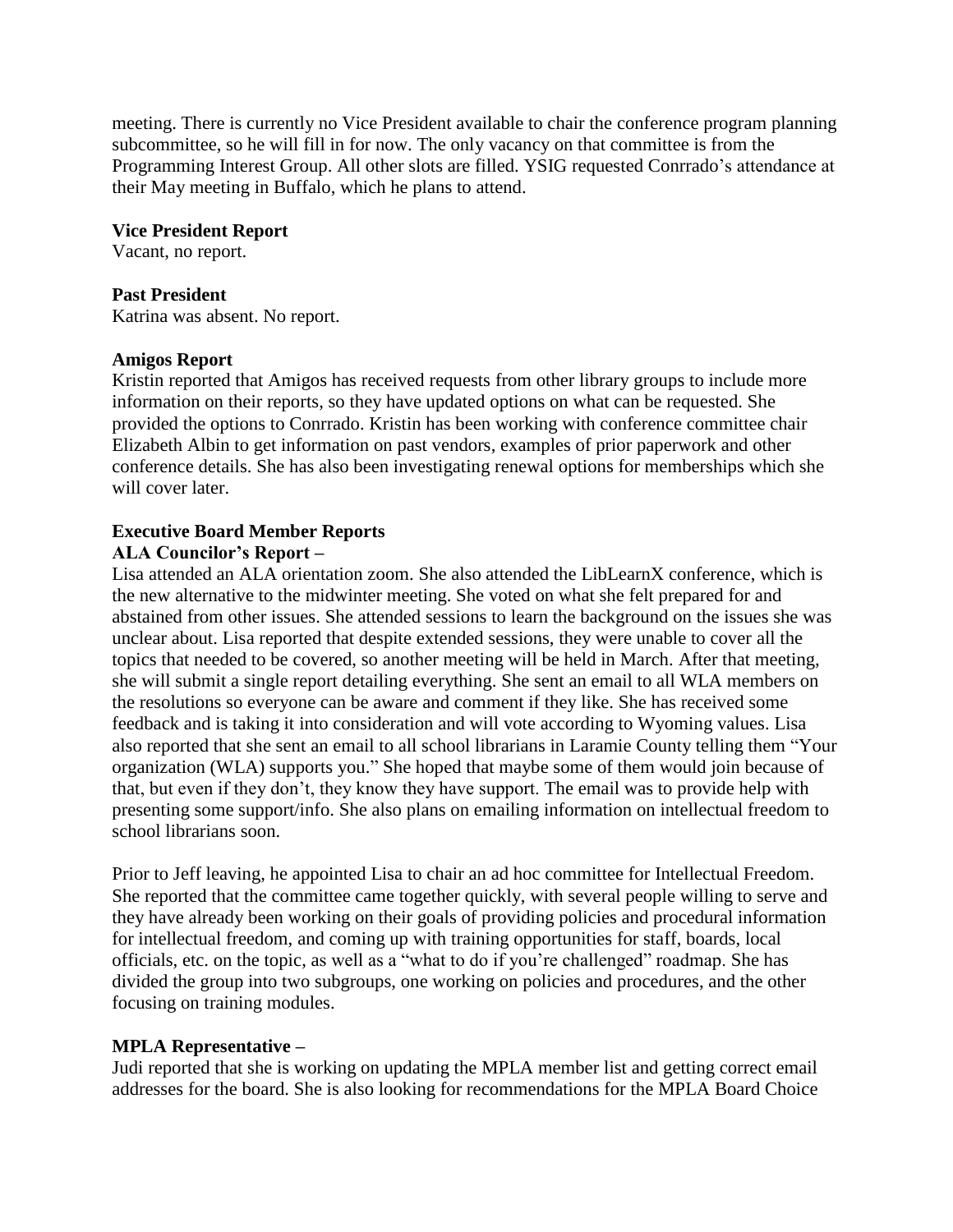meeting. There is currently no Vice President available to chair the conference program planning subcommittee, so he will fill in for now. The only vacancy on that committee is from the Programming Interest Group. All other slots are filled. YSIG requested Conrrado's attendance at their May meeting in Buffalo, which he plans to attend.

#### **Vice President Report**

Vacant, no report.

#### **Past President**

Katrina was absent. No report.

#### **Amigos Report**

Kristin reported that Amigos has received requests from other library groups to include more information on their reports, so they have updated options on what can be requested. She provided the options to Conrrado. Kristin has been working with conference committee chair Elizabeth Albin to get information on past vendors, examples of prior paperwork and other conference details. She has also been investigating renewal options for memberships which she will cover later.

# **Executive Board Member Reports**

# **ALA Councilor's Report –**

Lisa attended an ALA orientation zoom. She also attended the LibLearnX conference, which is the new alternative to the midwinter meeting. She voted on what she felt prepared for and abstained from other issues. She attended sessions to learn the background on the issues she was unclear about. Lisa reported that despite extended sessions, they were unable to cover all the topics that needed to be covered, so another meeting will be held in March. After that meeting, she will submit a single report detailing everything. She sent an email to all WLA members on the resolutions so everyone can be aware and comment if they like. She has received some feedback and is taking it into consideration and will vote according to Wyoming values. Lisa also reported that she sent an email to all school librarians in Laramie County telling them "Your organization (WLA) supports you." She hoped that maybe some of them would join because of that, but even if they don't, they know they have support. The email was to provide help with presenting some support/info. She also plans on emailing information on intellectual freedom to school librarians soon.

Prior to Jeff leaving, he appointed Lisa to chair an ad hoc committee for Intellectual Freedom. She reported that the committee came together quickly, with several people willing to serve and they have already been working on their goals of providing policies and procedural information for intellectual freedom, and coming up with training opportunities for staff, boards, local officials, etc. on the topic, as well as a "what to do if you're challenged" roadmap. She has divided the group into two subgroups, one working on policies and procedures, and the other focusing on training modules.

## **MPLA Representative –**

Judi reported that she is working on updating the MPLA member list and getting correct email addresses for the board. She is also looking for recommendations for the MPLA Board Choice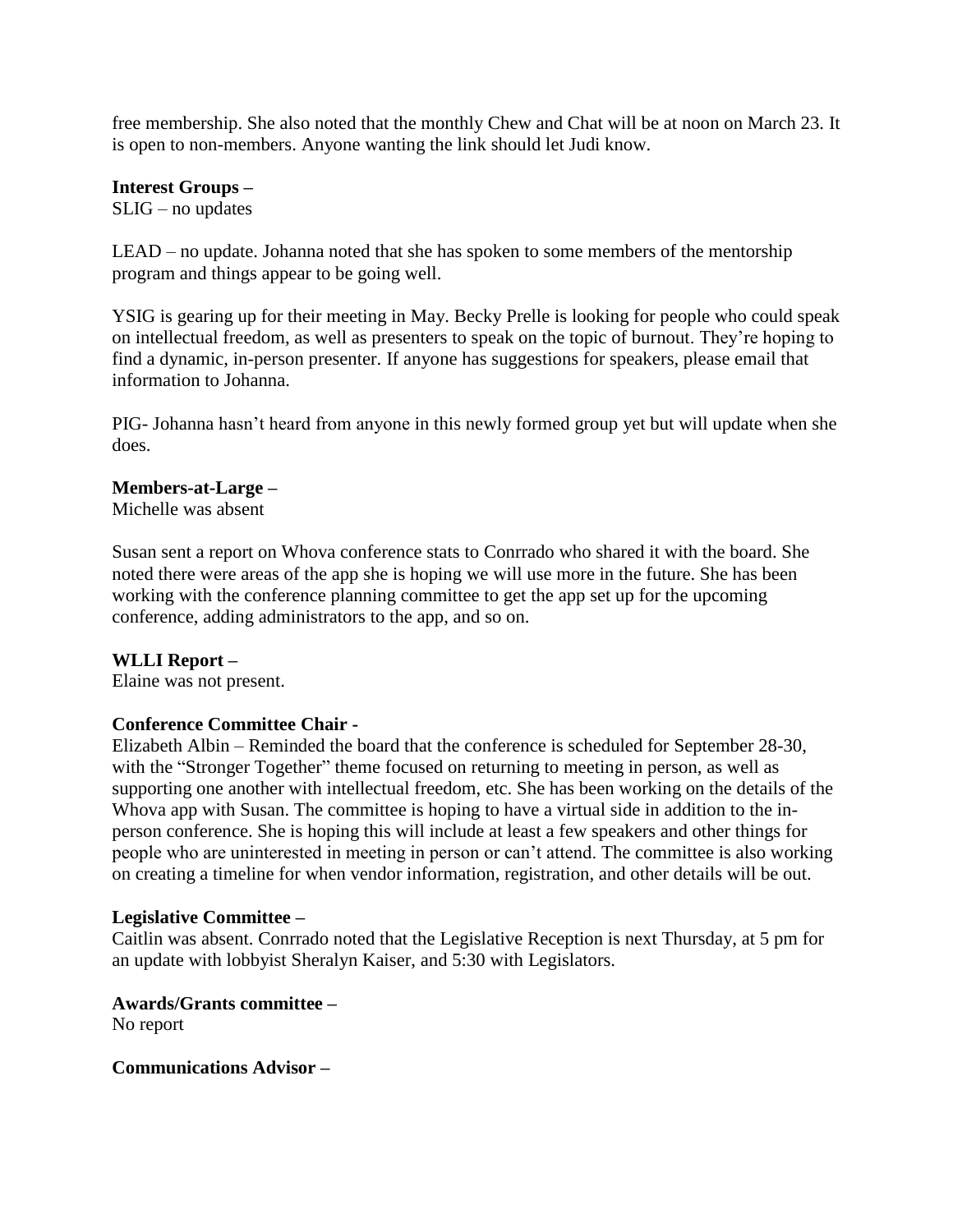free membership. She also noted that the monthly Chew and Chat will be at noon on March 23. It is open to non-members. Anyone wanting the link should let Judi know.

**Interest Groups –**

SLIG – no updates

LEAD – no update. Johanna noted that she has spoken to some members of the mentorship program and things appear to be going well.

YSIG is gearing up for their meeting in May. Becky Prelle is looking for people who could speak on intellectual freedom, as well as presenters to speak on the topic of burnout. They're hoping to find a dynamic, in-person presenter. If anyone has suggestions for speakers, please email that information to Johanna.

PIG- Johanna hasn't heard from anyone in this newly formed group yet but will update when she does.

## **Members-at-Large –**

Michelle was absent

Susan sent a report on Whova conference stats to Conrrado who shared it with the board. She noted there were areas of the app she is hoping we will use more in the future. She has been working with the conference planning committee to get the app set up for the upcoming conference, adding administrators to the app, and so on.

# **WLLI Report –**

Elaine was not present.

## **Conference Committee Chair -**

Elizabeth Albin – Reminded the board that the conference is scheduled for September 28-30, with the "Stronger Together" theme focused on returning to meeting in person, as well as supporting one another with intellectual freedom, etc. She has been working on the details of the Whova app with Susan. The committee is hoping to have a virtual side in addition to the inperson conference. She is hoping this will include at least a few speakers and other things for people who are uninterested in meeting in person or can't attend. The committee is also working on creating a timeline for when vendor information, registration, and other details will be out.

## **Legislative Committee –**

Caitlin was absent. Conrrado noted that the Legislative Reception is next Thursday, at 5 pm for an update with lobbyist Sheralyn Kaiser, and 5:30 with Legislators.

**Awards/Grants committee –** No report

**Communications Advisor –**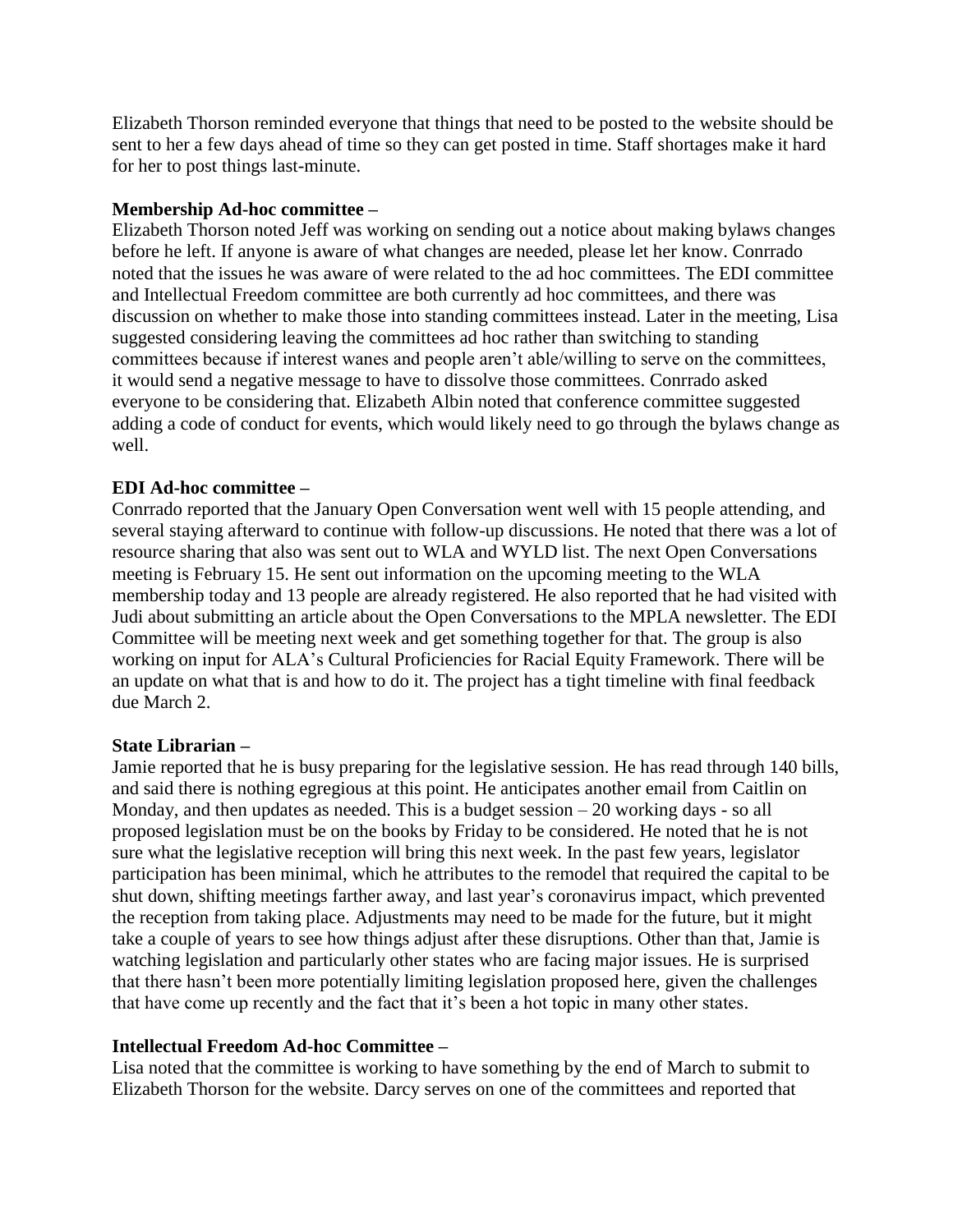Elizabeth Thorson reminded everyone that things that need to be posted to the website should be sent to her a few days ahead of time so they can get posted in time. Staff shortages make it hard for her to post things last-minute.

## **Membership Ad-hoc committee –**

Elizabeth Thorson noted Jeff was working on sending out a notice about making bylaws changes before he left. If anyone is aware of what changes are needed, please let her know. Conrrado noted that the issues he was aware of were related to the ad hoc committees. The EDI committee and Intellectual Freedom committee are both currently ad hoc committees, and there was discussion on whether to make those into standing committees instead. Later in the meeting, Lisa suggested considering leaving the committees ad hoc rather than switching to standing committees because if interest wanes and people aren't able/willing to serve on the committees, it would send a negative message to have to dissolve those committees. Conrrado asked everyone to be considering that. Elizabeth Albin noted that conference committee suggested adding a code of conduct for events, which would likely need to go through the bylaws change as well.

# **EDI Ad-hoc committee –**

Conrrado reported that the January Open Conversation went well with 15 people attending, and several staying afterward to continue with follow-up discussions. He noted that there was a lot of resource sharing that also was sent out to WLA and WYLD list. The next Open Conversations meeting is February 15. He sent out information on the upcoming meeting to the WLA membership today and 13 people are already registered. He also reported that he had visited with Judi about submitting an article about the Open Conversations to the MPLA newsletter. The EDI Committee will be meeting next week and get something together for that. The group is also working on input for ALA's Cultural Proficiencies for Racial Equity Framework. There will be an update on what that is and how to do it. The project has a tight timeline with final feedback due March 2.

## **State Librarian –**

Jamie reported that he is busy preparing for the legislative session. He has read through 140 bills, and said there is nothing egregious at this point. He anticipates another email from Caitlin on Monday, and then updates as needed. This is a budget session  $-20$  working days - so all proposed legislation must be on the books by Friday to be considered. He noted that he is not sure what the legislative reception will bring this next week. In the past few years, legislator participation has been minimal, which he attributes to the remodel that required the capital to be shut down, shifting meetings farther away, and last year's coronavirus impact, which prevented the reception from taking place. Adjustments may need to be made for the future, but it might take a couple of years to see how things adjust after these disruptions. Other than that, Jamie is watching legislation and particularly other states who are facing major issues. He is surprised that there hasn't been more potentially limiting legislation proposed here, given the challenges that have come up recently and the fact that it's been a hot topic in many other states.

# **Intellectual Freedom Ad-hoc Committee –**

Lisa noted that the committee is working to have something by the end of March to submit to Elizabeth Thorson for the website. Darcy serves on one of the committees and reported that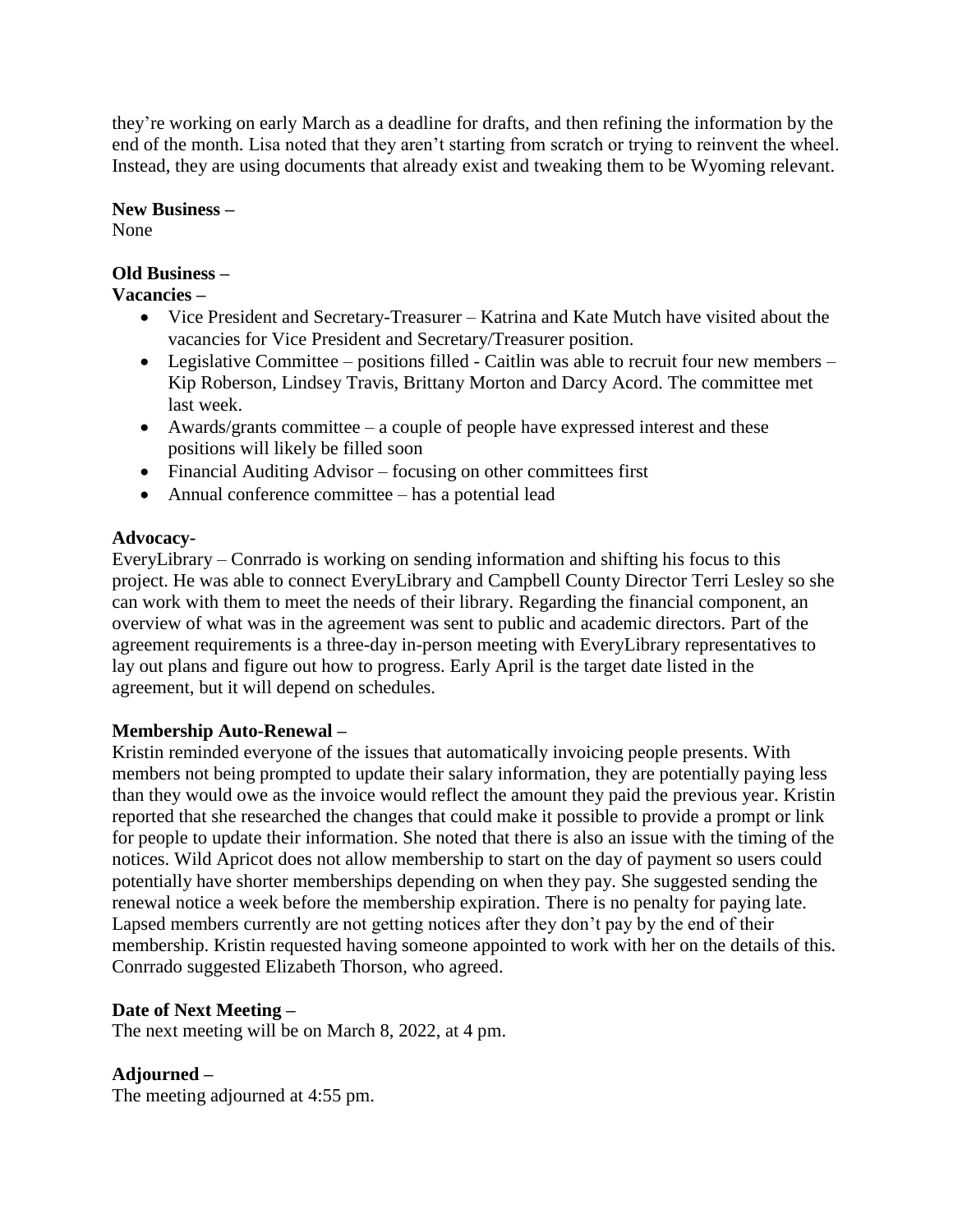they're working on early March as a deadline for drafts, and then refining the information by the end of the month. Lisa noted that they aren't starting from scratch or trying to reinvent the wheel. Instead, they are using documents that already exist and tweaking them to be Wyoming relevant.

## **New Business –**

None

# **Old Business –**

# **Vacancies –**

- Vice President and Secretary-Treasurer Katrina and Kate Mutch have visited about the vacancies for Vice President and Secretary/Treasurer position.
- Legislative Committee positions filled Caitlin was able to recruit four new members Kip Roberson, Lindsey Travis, Brittany Morton and Darcy Acord. The committee met last week.
- Awards/grants committee a couple of people have expressed interest and these positions will likely be filled soon
- Financial Auditing Advisor focusing on other committees first
- Annual conference committee has a potential lead

# **Advocacy-**

EveryLibrary – Conrrado is working on sending information and shifting his focus to this project. He was able to connect EveryLibrary and Campbell County Director Terri Lesley so she can work with them to meet the needs of their library. Regarding the financial component, an overview of what was in the agreement was sent to public and academic directors. Part of the agreement requirements is a three-day in-person meeting with EveryLibrary representatives to lay out plans and figure out how to progress. Early April is the target date listed in the agreement, but it will depend on schedules.

# **Membership Auto-Renewal –**

Kristin reminded everyone of the issues that automatically invoicing people presents. With members not being prompted to update their salary information, they are potentially paying less than they would owe as the invoice would reflect the amount they paid the previous year. Kristin reported that she researched the changes that could make it possible to provide a prompt or link for people to update their information. She noted that there is also an issue with the timing of the notices. Wild Apricot does not allow membership to start on the day of payment so users could potentially have shorter memberships depending on when they pay. She suggested sending the renewal notice a week before the membership expiration. There is no penalty for paying late. Lapsed members currently are not getting notices after they don't pay by the end of their membership. Kristin requested having someone appointed to work with her on the details of this. Conrrado suggested Elizabeth Thorson, who agreed.

# **Date of Next Meeting –**

The next meeting will be on March 8, 2022, at 4 pm.

# **Adjourned –**

The meeting adjourned at 4:55 pm.